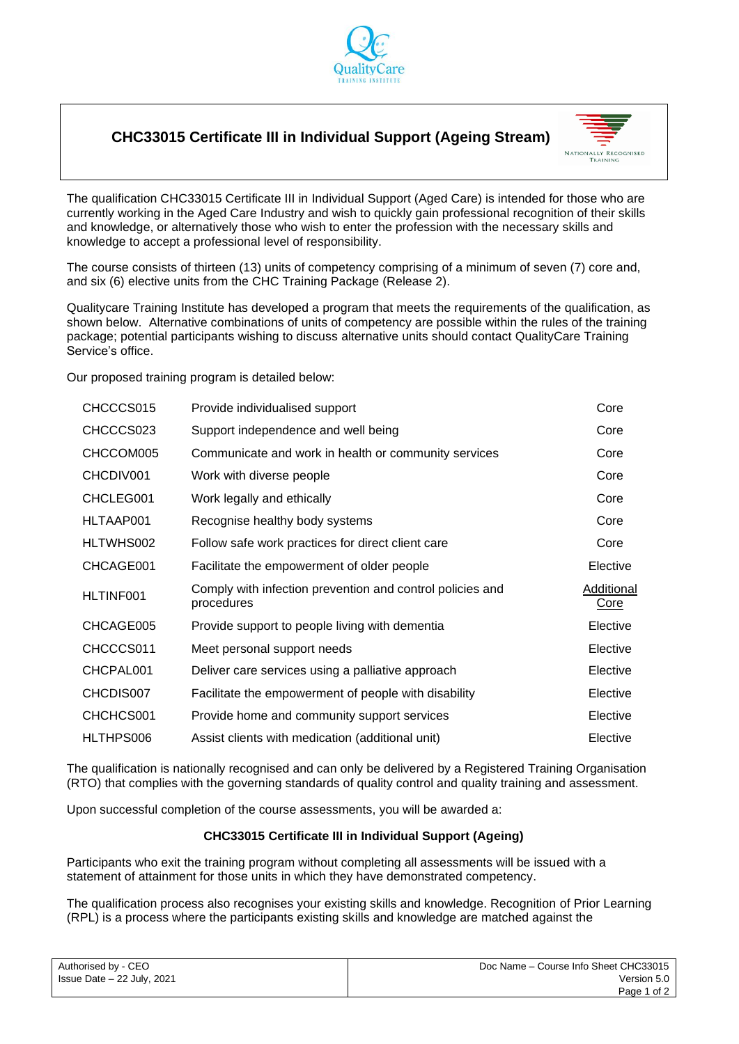

# **CHC33015 Certificate III in Individual Support (Ageing Stream)**



The qualification CHC33015 Certificate III in Individual Support (Aged Care) is intended for those who are currently working in the Aged Care Industry and wish to quickly gain professional recognition of their skills and knowledge, or alternatively those who wish to enter the profession with the necessary skills and knowledge to accept a professional level of responsibility.

The course consists of thirteen (13) units of competency comprising of a minimum of seven (7) core and, and six (6) elective units from the CHC Training Package (Release 2).

Qualitycare Training Institute has developed a program that meets the requirements of the qualification, as shown below. Alternative combinations of units of competency are possible within the rules of the training package; potential participants wishing to discuss alternative units should contact QualityCare Training Service's office.

Our proposed training program is detailed below:

| CHCCCS015 | Provide individualised support                                          | Core               |
|-----------|-------------------------------------------------------------------------|--------------------|
| CHCCCS023 | Support independence and well being                                     | Core               |
| CHCCOM005 | Communicate and work in health or community services                    | Core               |
| CHCDIV001 | Work with diverse people                                                | Core               |
| CHCLEG001 | Work legally and ethically                                              | Core               |
| HLTAAP001 | Recognise healthy body systems                                          | Core               |
| HLTWHS002 | Follow safe work practices for direct client care                       | Core               |
| CHCAGE001 | Facilitate the empowerment of older people                              | Elective           |
| HLTINF001 | Comply with infection prevention and control policies and<br>procedures | Additional<br>Core |
| CHCAGE005 | Provide support to people living with dementia                          | Elective           |
| CHCCCS011 | Meet personal support needs                                             | Elective           |
| CHCPAL001 | Deliver care services using a palliative approach                       | Elective           |
| CHCDIS007 | Facilitate the empowerment of people with disability                    | Elective           |
| CHCHCS001 | Provide home and community support services                             | Elective           |
| HLTHPS006 | Assist clients with medication (additional unit)                        | Elective           |

The qualification is nationally recognised and can only be delivered by a Registered Training Organisation (RTO) that complies with the governing standards of quality control and quality training and assessment.

Upon successful completion of the course assessments, you will be awarded a:

## **CHC33015 Certificate III in Individual Support (Ageing)**

Participants who exit the training program without completing all assessments will be issued with a statement of attainment for those units in which they have demonstrated competency.

The qualification process also recognises your existing skills and knowledge. Recognition of Prior Learning (RPL) is a process where the participants existing skills and knowledge are matched against the

| Authorised by - CEO        | Doc Name - Course Info Sheet CHC33015 |
|----------------------------|---------------------------------------|
| Issue Date - 22 July, 2021 | Version 5.0                           |
|                            | Page 1 of 2                           |